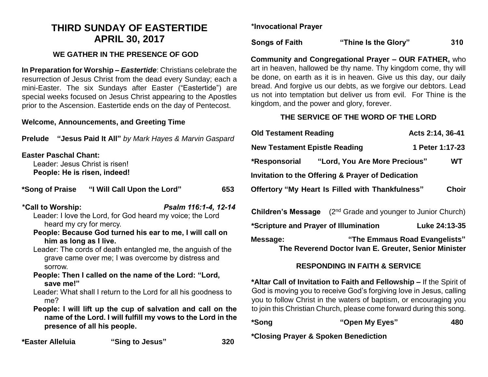# **THIRD SUNDAY OF EASTERTIDE APRIL 30, 2017**

### **WE GATHER IN THE PRESENCE OF GOD**

**In Preparation for Worship –** *Eastertide*: Christians celebrate the resurrection of Jesus Christ from the dead every Sunday; each a mini-Easter. The six Sundays after Easter ("Eastertide") are special weeks focused on Jesus Christ appearing to the Apostles prior to the Ascension. Eastertide ends on the day of Pentecost.

#### **Welcome, Announcements, and Greeting Time**

| "Jesus Paid It All" by Mark Hayes & Marvin Gaspard<br>Prelude                                  |                                                                                                                                                                                                                                                                                       |                      |
|------------------------------------------------------------------------------------------------|---------------------------------------------------------------------------------------------------------------------------------------------------------------------------------------------------------------------------------------------------------------------------------------|----------------------|
| <b>Easter Paschal Chant:</b><br>Leader: Jesus Christ is risen!<br>People: He is risen, indeed! |                                                                                                                                                                                                                                                                                       |                      |
|                                                                                                |                                                                                                                                                                                                                                                                                       | 653                  |
| *Call to Worship:<br>heard my cry for mercy.<br>him as long as I live.<br>sorrow.              | Leader: I love the Lord, for God heard my voice; the Lord<br>People: Because God turned his ear to me, I will call on<br>Leader: The cords of death entangled me, the anguish of the<br>grave came over me; I was overcome by distress and                                            | Psalm 116:1-4, 12-14 |
| save me!"<br>me?                                                                               | People: Then I called on the name of the Lord: "Lord,<br>Leader: What shall I return to the Lord for all his goodness to<br>People: I will lift up the cup of salvation and call on the<br>name of the Lord. I will fulfill my vows to the Lord in the<br>presence of all his people. |                      |

**\*Easter Alleluia "Sing to Jesus" 320**

**\*Invocational Prayer**

**Songs of Faith "Thine Is the Glory" 310**

**Community and Congregational Prayer – OUR FATHER,** who art in heaven, hallowed be thy name. Thy kingdom come, thy will be done, on earth as it is in heaven. Give us this day, our daily bread. And forgive us our debts, as we forgive our debtors. Lead us not into temptation but deliver us from evil. For Thine is the kingdom, and the power and glory, forever.

## **THE SERVICE OF THE WORD OF THE LORD**

| <b>Old Testament Reading</b>                      |                                                         | Acts 2:14, 36-41 |              |  |
|---------------------------------------------------|---------------------------------------------------------|------------------|--------------|--|
| <b>New Testament Epistle Reading</b>              |                                                         | 1 Peter 1:17-23  |              |  |
| *Responsorial                                     | "Lord, You Are More Precious"                           |                  | WТ           |  |
| Invitation to the Offering & Prayer of Dedication |                                                         |                  |              |  |
|                                                   | <b>Offertory "My Heart Is Filled with Thankfulness"</b> |                  | <b>Choir</b> |  |

| <b>Children's Message</b>             | (2 <sup>nd</sup> Grade and younger to Junior Church) |
|---------------------------------------|------------------------------------------------------|
| *Scripture and Prayer of Illumination | Luke 24:13-35                                        |
| Message:                              | "The Emmaus Road Evangelists"                        |
|                                       | The Reverend Doctor Ivan E. Greuter, Senior Minister |

## **RESPONDING IN FAITH & SERVICE**

**ar Call of Invitation to Faith and Fellowship – If the Spirit of** d is moving you to receive God's forgiving love in Jesus, calling to follow Christ in the waters of baptism, or encouraging you bin this Christian Church, please come forward during this song.

| *Song | "Open My Eyes" | 480 |
|-------|----------------|-----|
|       |                |     |

**\*Closing Prayer & Spoken Benediction**